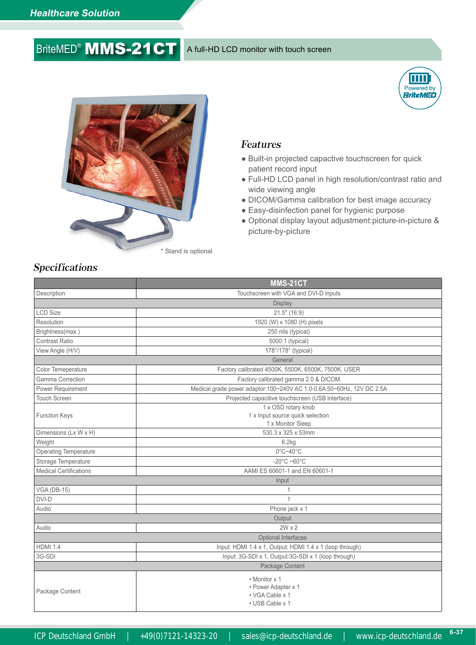# BriteMED<sup>®</sup> MMS-21CT

#### A full-HD LCD monitor with touch screen





#### Features

- Built-in projected capactive touchscreen for quick patient record input
- Full-HD LCD panel in high resolution/contrast ratio and wide viewing angle
- DICOM/Gamma calibration for best image accuracy
- Easy-disinfection panel for hygienic purpose
- Optional display layout adjustment:picture-in-picture & picture-by-picture

| <i><b>Specifications</b></i> |  |
|------------------------------|--|
|                              |  |

|                               | <b>MMS-21CT</b>                                                       |  |  |
|-------------------------------|-----------------------------------------------------------------------|--|--|
| Description                   | Touchscreen with VGA and DVI-D inputs                                 |  |  |
|                               | <b>Display</b>                                                        |  |  |
| <b>LCD Size</b>               | $21.5"$ (16:9)                                                        |  |  |
| Resolution                    | 1920 (W) x 1080 (H) pixels                                            |  |  |
| Brightness(max.)              | 250 nits (typical)                                                    |  |  |
| <b>Contrast Ratio</b>         | 5000:1 (typical)                                                      |  |  |
| View Angle (H/V)              | 178°/178° (typical)                                                   |  |  |
| General                       |                                                                       |  |  |
| Color Temeperature            | Factory calibrated 4500K, 5500K, 6500K, 7500K, USER                   |  |  |
| <b>Gamma Correction</b>       | Factory calibrated gamma 2.0 & DICOM                                  |  |  |
| Power Requirement             | Medical grade power adaptor:100~240V AC 1.0-0.6A 50~60Hz, 12V DC 2.5A |  |  |
| <b>Touch Screen</b>           | Projected capacitive touchscreen (USB interface)                      |  |  |
| Function Keys                 | 1 x OSD rotary knob                                                   |  |  |
|                               | 1 x Input source quick selection                                      |  |  |
|                               | 1 x Monitor Sleep                                                     |  |  |
| Dimensions (Lx W x H)         | 530.3 x 325 x 53mm                                                    |  |  |
| Weight                        | 6.2kg                                                                 |  |  |
| Operating Temperature         | 0°C~40°C                                                              |  |  |
| Storage Temperature           | $-20^{\circ}$ C ~60 $^{\circ}$ C                                      |  |  |
| <b>Medical Certifications</b> | AAMI ES 60601-1 and EN 60601-1                                        |  |  |
| Input                         |                                                                       |  |  |
| <b>VGA (DB-15)</b>            | 1                                                                     |  |  |
| DVI-D                         | $\overline{1}$                                                        |  |  |
| Audio                         | Phone jack x 1                                                        |  |  |
|                               | Output                                                                |  |  |
| Audio                         | $2W \times 2$                                                         |  |  |
|                               | Optional Interfaces                                                   |  |  |
| <b>HDMI 1.4</b>               | Input: HDMI 1.4 x 1, Output: HDMI 1.4 x 1 (loop through)              |  |  |
| 3G-SDI                        | Input: 3G-SDI x 1, Output: 3G-SDI x 1 (loop through)                  |  |  |
|                               | Package Content                                                       |  |  |
|                               | • Monitor x 1                                                         |  |  |
| Package Content               | • Power Adapter x 1<br>• VGA Cable x 1                                |  |  |
|                               | • USB Cable x 1                                                       |  |  |
|                               |                                                                       |  |  |